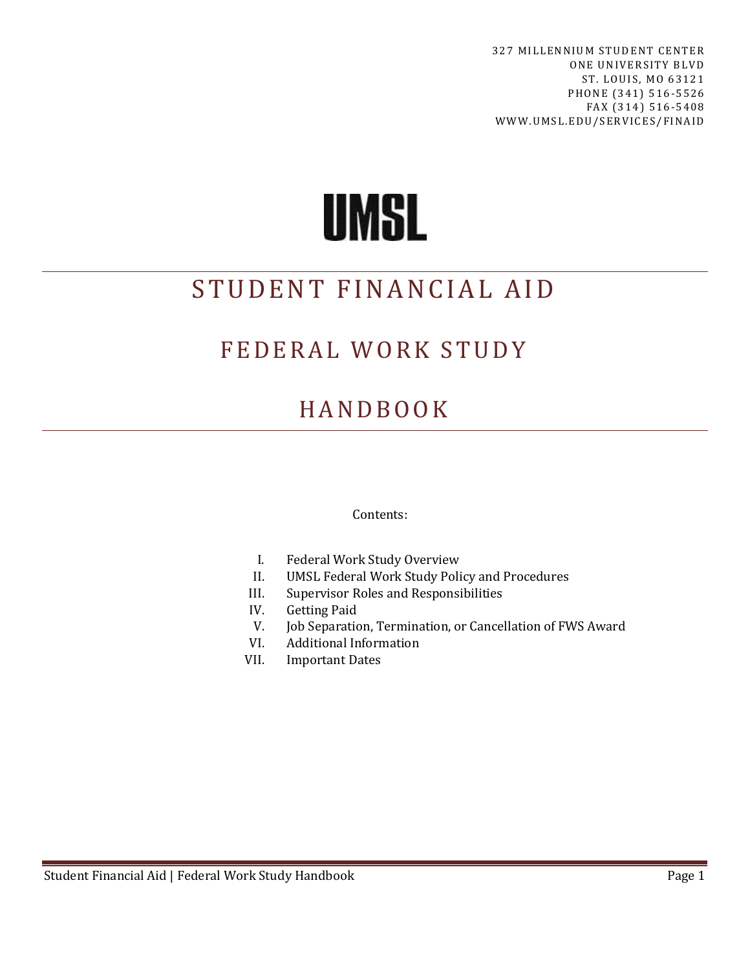327 MILLENNIUM STUDENT CENTER ONE UNIVERSITY BLVD ST. LOUIS, MO 63121 PHONE (341) 516-5526 FAX (314) 516-5408 WWW.UMSL.EDU/SERVICES/FINAID

# UMSL

# STUDENT FINANCIAL AID

# FEDERAL WORK STUDY

# **HANDBOOK**

#### Contents:

- I. Federal Work Study Overview
- II. UMSL Federal Work Study Policy and Procedures
- III. Supervisor Roles and Responsibilities
- IV. Getting Paid
- V. Job Separation, Termination, or Cancellation of FWS Award
- VI. Additional Information
- VII. Important Dates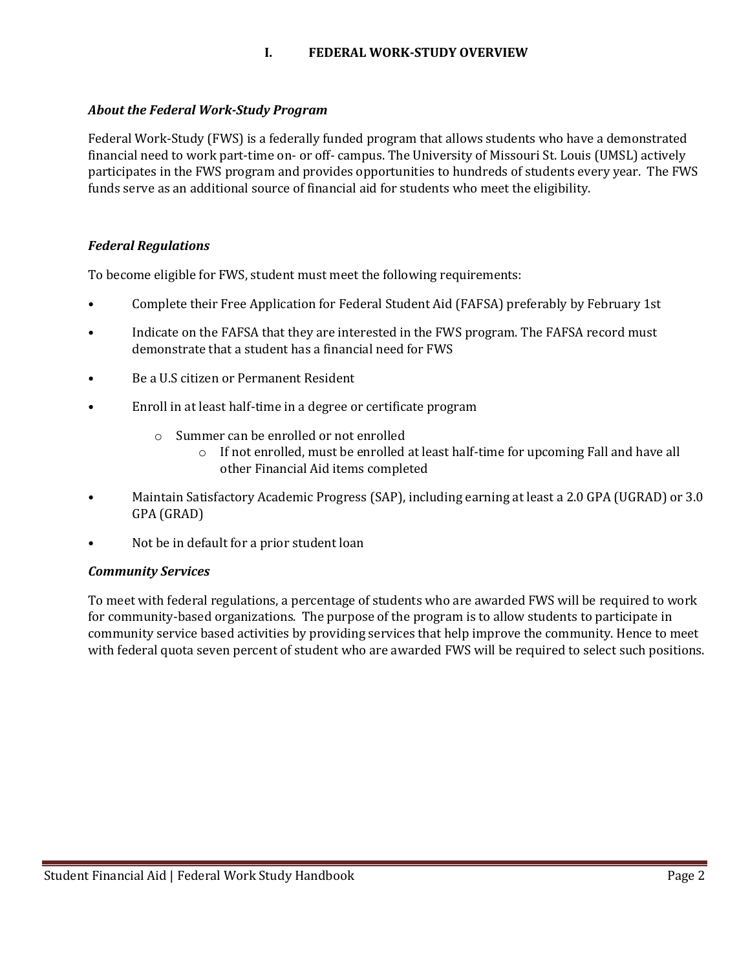#### **I. FEDERAL WORK-STUDY OVERVIEW**

#### *About the Federal Work-Study Program*

Federal Work-Study (FWS) is a federally funded program that allows students who have a demonstrated financial need to work part-time on- or off- campus. The University of Missouri St. Louis (UMSL) actively participates in the FWS program and provides opportunities to hundreds of students every year. The FWS funds serve as an additional source of financial aid for students who meet the eligibility.

#### *Federal Regulations*

To become eligible for FWS, student must meet the following requirements:

- Complete their Free Application for Federal Student Aid (FAFSA) preferably by February 1st
- Indicate on the FAFSA that they are interested in the FWS program. The FAFSA record must demonstrate that a student has a financial need for FWS
- Be a U.S citizen or Permanent Resident
- Enroll in at least half-time in a degree or certificate program
	- o Summer can be enrolled or not enrolled
		- o If not enrolled, must be enrolled at least half-time for upcoming Fall and have all other Financial Aid items completed
- Maintain Satisfactory Academic Progress (SAP), including earning at least a 2.0 GPA (UGRAD) or 3.0 GPA (GRAD)
- Not be in default for a prior student loan

#### *Community Services*

To meet with federal regulations, a percentage of students who are awarded FWS will be required to work for community-based organizations. The purpose of the program is to allow students to participate in community service based activities by providing services that help improve the community. Hence to meet with federal quota seven percent of student who are awarded FWS will be required to select such positions.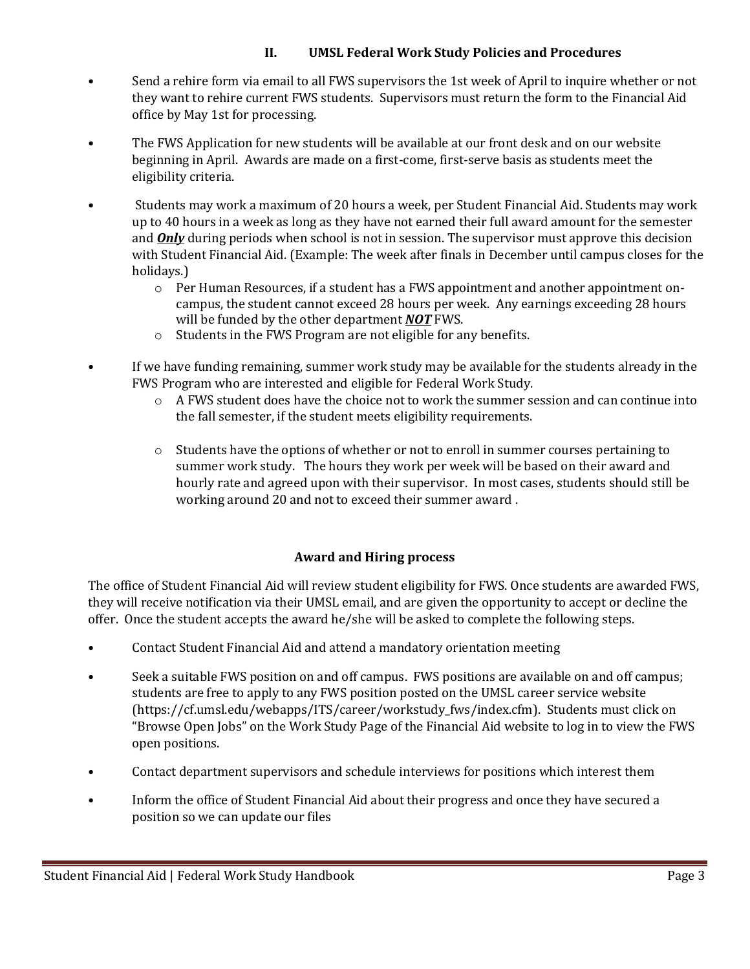#### **II. UMSL Federal Work Study Policies and Procedures**

- Send a rehire form via email to all FWS supervisors the 1st week of April to inquire whether or not they want to rehire current FWS students. Supervisors must return the form to the Financial Aid office by May 1st for processing.
- The FWS Application for new students will be available at our front desk and on our website beginning in April. Awards are made on a first-come, first-serve basis as students meet the eligibility criteria.
- Students may work a maximum of 20 hours a week, per Student Financial Aid. Students may work up to 40 hours in a week as long as they have not earned their full award amount for the semester and *Only* during periods when school is not in session. The supervisor must approve this decision with Student Financial Aid. (Example: The week after finals in December until campus closes for the holidays.)
	- o Per Human Resources, if a student has a FWS appointment and another appointment oncampus, the student cannot exceed 28 hours per week. Any earnings exceeding 28 hours will be funded by the other department *NOT* FWS.
	- o Students in the FWS Program are not eligible for any benefits.
- If we have funding remaining, summer work study may be available for the students already in the FWS Program who are interested and eligible for Federal Work Study.
	- $\circ$  A FWS student does have the choice not to work the summer session and can continue into the fall semester, if the student meets eligibility requirements.
	- o Students have the options of whether or not to enroll in summer courses pertaining to summer work study. The hours they work per week will be based on their award and hourly rate and agreed upon with their supervisor. In most cases, students should still be working around 20 and not to exceed their summer award .

#### **Award and Hiring process**

The office of Student Financial Aid will review student eligibility for FWS. Once students are awarded FWS, they will receive notification via their UMSL email, and are given the opportunity to accept or decline the offer. Once the student accepts the award he/she will be asked to complete the following steps.

- Contact Student Financial Aid and attend a mandatory orientation meeting
- Seek a suitable FWS position on and off campus. FWS positions are available on and off campus; students are free to apply to any FWS position posted on the UMSL career service website (https://cf.umsl.edu/webapps/ITS/career/workstudy\_fws/index.cfm). Students must click on "Browse Open Jobs" on the Work Study Page of the Financial Aid website to log in to view the FWS open positions.
- Contact department supervisors and schedule interviews for positions which interest them
- Inform the office of Student Financial Aid about their progress and once they have secured a position so we can update our files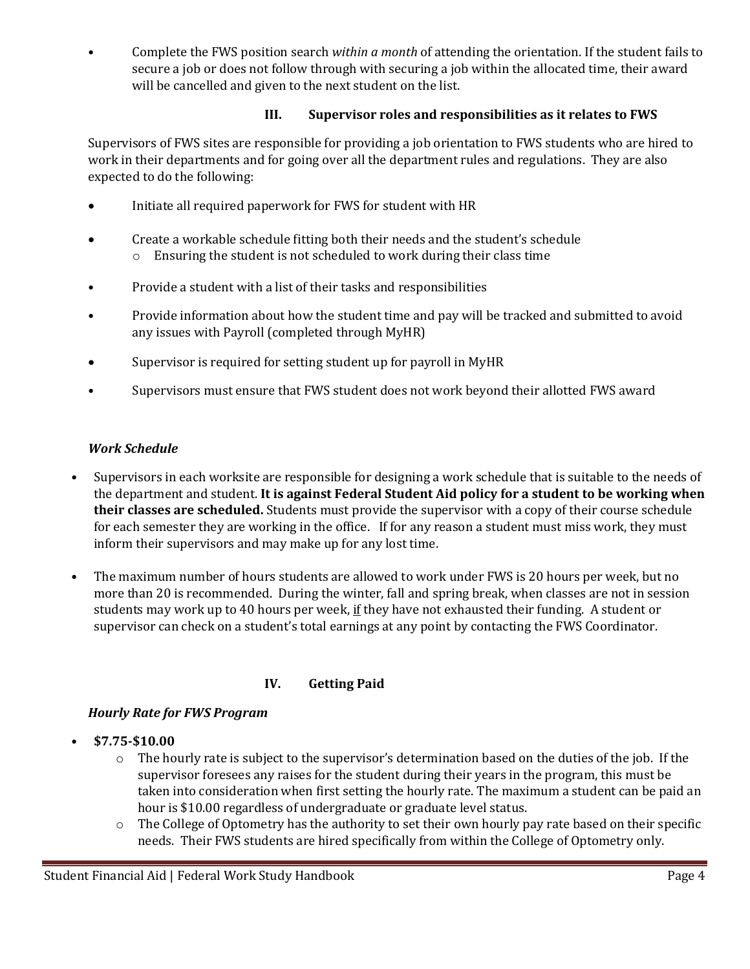• Complete the FWS position search *within a month* of attending the orientation. If the student fails to secure a job or does not follow through with securing a job within the allocated time, their award will be cancelled and given to the next student on the list.

## **III. Supervisor roles and responsibilities as it relates to FWS**

Supervisors of FWS sites are responsible for providing a job orientation to FWS students who are hired to work in their departments and for going over all the department rules and regulations. They are also expected to do the following:

- Initiate all required paperwork for FWS for student with HR
- Create a workable schedule fitting both their needs and the student's schedule o Ensuring the student is not scheduled to work during their class time
- Provide a student with a list of their tasks and responsibilities
- Provide information about how the student time and pay will be tracked and submitted to avoid any issues with Payroll (completed through MyHR)
- Supervisor is required for setting student up for payroll in MyHR
- Supervisors must ensure that FWS student does not work beyond their allotted FWS award

## *Work Schedule*

- Supervisors in each worksite are responsible for designing a work schedule that is suitable to the needs of the department and student. **It is against Federal Student Aid policy for a student to be working when their classes are scheduled.** Students must provide the supervisor with a copy of their course schedule for each semester they are working in the office. If for any reason a student must miss work, they must inform their supervisors and may make up for any lost time.
- The maximum number of hours students are allowed to work under FWS is 20 hours per week, but no more than 20 is recommended. During the winter, fall and spring break, when classes are not in session students may work up to 40 hours per week, if they have not exhausted their funding. A student or supervisor can check on a student's total earnings at any point by contacting the FWS Coordinator.

# **IV. Getting Paid**

## *Hourly Rate for FWS Program*

- **\$7.75-\$10.00**
	- $\circ$  The hourly rate is subject to the supervisor's determination based on the duties of the job. If the supervisor foresees any raises for the student during their years in the program, this must be taken into consideration when first setting the hourly rate. The maximum a student can be paid an hour is \$10.00 regardless of undergraduate or graduate level status.
	- o The College of Optometry has the authority to set their own hourly pay rate based on their specific needs. Their FWS students are hired specifically from within the College of Optometry only.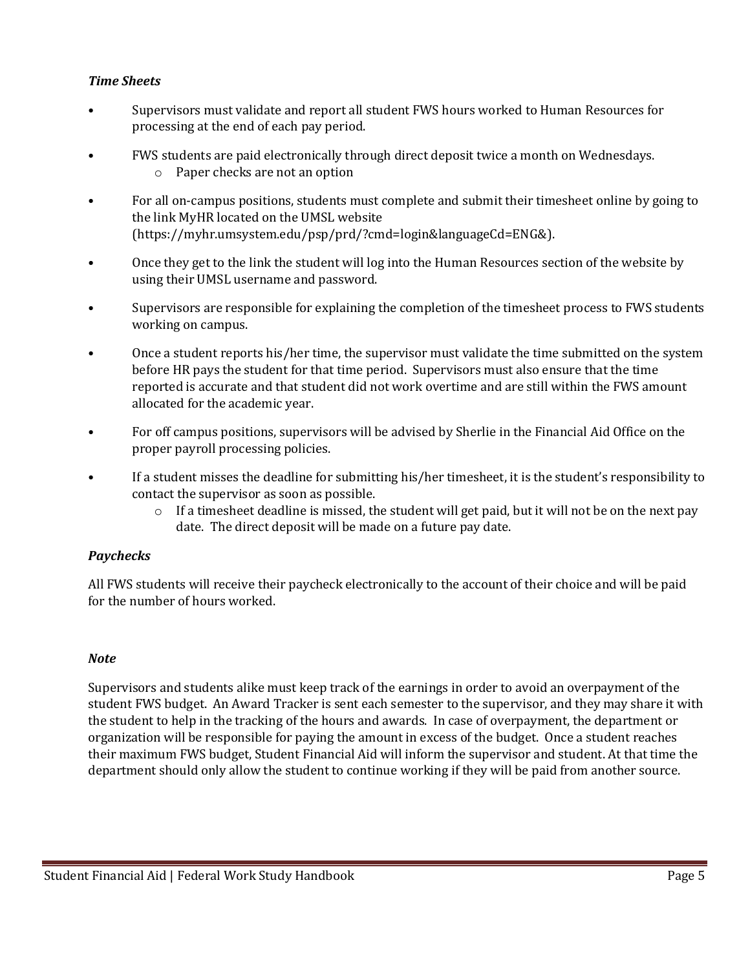#### *Time Sheets*

- Supervisors must validate and report all student FWS hours worked to Human Resources for processing at the end of each pay period.
- FWS students are paid electronically through direct deposit twice a month on Wednesdays.
	- o Paper checks are not an option
- For all on-campus positions, students must complete and submit their timesheet online by going to the link MyHR located on the UMSL website (https://myhr.umsystem.edu/psp/prd/?cmd=login&languageCd=ENG&).
- Once they get to the link the student will log into the Human Resources section of the website by using their UMSL username and password.
- Supervisors are responsible for explaining the completion of the timesheet process to FWS students working on campus.
- Once a student reports his/her time, the supervisor must validate the time submitted on the system before HR pays the student for that time period. Supervisors must also ensure that the time reported is accurate and that student did not work overtime and are still within the FWS amount allocated for the academic year.
- For off campus positions, supervisors will be advised by Sherlie in the Financial Aid Office on the proper payroll processing policies.
- If a student misses the deadline for submitting his/her timesheet, it is the student's responsibility to contact the supervisor as soon as possible.
	- $\circ$  If a timesheet deadline is missed, the student will get paid, but it will not be on the next pay date. The direct deposit will be made on a future pay date.

#### *Paychecks*

All FWS students will receive their paycheck electronically to the account of their choice and will be paid for the number of hours worked.

#### *Note*

Supervisors and students alike must keep track of the earnings in order to avoid an overpayment of the student FWS budget. An Award Tracker is sent each semester to the supervisor, and they may share it with the student to help in the tracking of the hours and awards. In case of overpayment, the department or organization will be responsible for paying the amount in excess of the budget. Once a student reaches their maximum FWS budget, Student Financial Aid will inform the supervisor and student. At that time the department should only allow the student to continue working if they will be paid from another source.